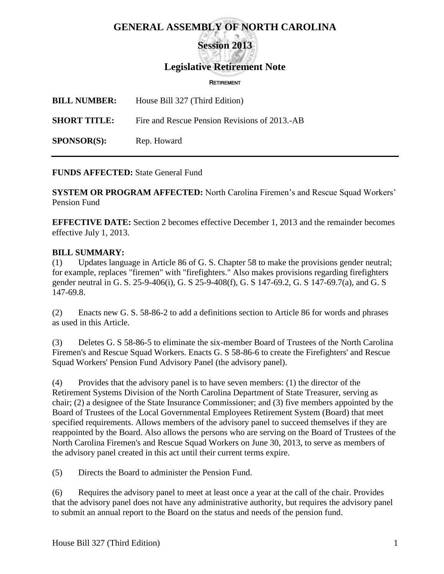# **GENERAL ASSEMBLY OF NORTH CAROLINA**

**Session 2013**

### **Legislative Retirement Note**

ì RETIREMENT

**BILL NUMBER:** House Bill 327 (Third Edition)

**SHORT TITLE:** Fire and Rescue Pension Revisions of 2013.-AB

**SPONSOR(S):** Rep. Howard

**FUNDS AFFECTED:** State General Fund

**SYSTEM OR PROGRAM AFFECTED:** North Carolina Firemen's and Rescue Squad Workers' Pension Fund

**EFFECTIVE DATE:** Section 2 becomes effective December 1, 2013 and the remainder becomes effective July 1, 2013.

#### **BILL SUMMARY:**

(1) Updates language in Article 86 of G. S. Chapter 58 to make the provisions gender neutral; for example, replaces "firemen" with "firefighters." Also makes provisions regarding firefighters gender neutral in G. S. 25-9-406(i), G. S 25-9-408(f), G. S 147-69.2, G. S 147-69.7(a), and G. S 147-69.8.

(2) Enacts new G. S. 58-86-2 to add a definitions section to Article 86 for words and phrases as used in this Article.

(3) Deletes G. S 58-86-5 to eliminate the six-member Board of Trustees of the North Carolina Firemen's and Rescue Squad Workers. Enacts G. S 58-86-6 to create the Firefighters' and Rescue Squad Workers' Pension Fund Advisory Panel (the advisory panel).

(4) Provides that the advisory panel is to have seven members: (1) the director of the Retirement Systems Division of the North Carolina Department of State Treasurer, serving as chair; (2) a designee of the State Insurance Commissioner; and (3) five members appointed by the Board of Trustees of the Local Governmental Employees Retirement System (Board) that meet specified requirements. Allows members of the advisory panel to succeed themselves if they are reappointed by the Board. Also allows the persons who are serving on the Board of Trustees of the North Carolina Firemen's and Rescue Squad Workers on June 30, 2013, to serve as members of the advisory panel created in this act until their current terms expire.

(5) Directs the Board to administer the Pension Fund.

(6) Requires the advisory panel to meet at least once a year at the call of the chair. Provides that the advisory panel does not have any administrative authority, but requires the advisory panel to submit an annual report to the Board on the status and needs of the pension fund.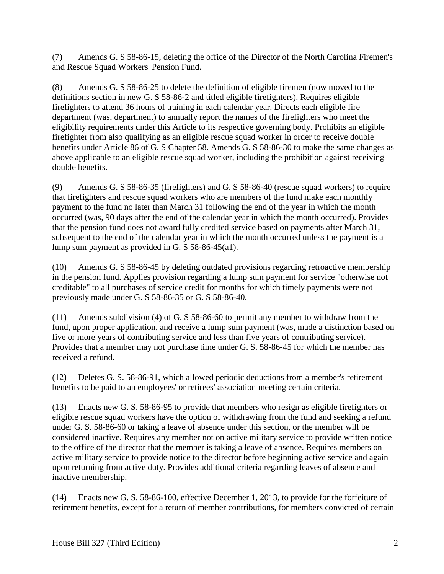(7) Amends G. S 58-86-15, deleting the office of the Director of the North Carolina Firemen's and Rescue Squad Workers' Pension Fund.

(8) Amends G. S 58-86-25 to delete the definition of eligible firemen (now moved to the definitions section in new G. S 58-86-2 and titled eligible firefighters). Requires eligible firefighters to attend 36 hours of training in each calendar year. Directs each eligible fire department (was, department) to annually report the names of the firefighters who meet the eligibility requirements under this Article to its respective governing body. Prohibits an eligible firefighter from also qualifying as an eligible rescue squad worker in order to receive double benefits under Article 86 of G. S Chapter 58. Amends G. S 58-86-30 to make the same changes as above applicable to an eligible rescue squad worker, including the prohibition against receiving double benefits.

(9) Amends G. S 58-86-35 (firefighters) and G. S 58-86-40 (rescue squad workers) to require that firefighters and rescue squad workers who are members of the fund make each monthly payment to the fund no later than March 31 following the end of the year in which the month occurred (was, 90 days after the end of the calendar year in which the month occurred). Provides that the pension fund does not award fully credited service based on payments after March 31, subsequent to the end of the calendar year in which the month occurred unless the payment is a lump sum payment as provided in G. S 58-86-45(a1).

(10) Amends G. S 58-86-45 by deleting outdated provisions regarding retroactive membership in the pension fund. Applies provision regarding a lump sum payment for service "otherwise not creditable" to all purchases of service credit for months for which timely payments were not previously made under G. S 58-86-35 or G. S 58-86-40.

(11) Amends subdivision (4) of G. S 58-86-60 to permit any member to withdraw from the fund, upon proper application, and receive a lump sum payment (was, made a distinction based on five or more years of contributing service and less than five years of contributing service). Provides that a member may not purchase time under G. S. 58-86-45 for which the member has received a refund.

(12) Deletes G. S. 58-86-91, which allowed periodic deductions from a member's retirement benefits to be paid to an employees' or retirees' association meeting certain criteria.

(13) Enacts new G. S. 58-86-95 to provide that members who resign as eligible firefighters or eligible rescue squad workers have the option of withdrawing from the fund and seeking a refund under G. S. 58-86-60 or taking a leave of absence under this section, or the member will be considered inactive. Requires any member not on active military service to provide written notice to the office of the director that the member is taking a leave of absence. Requires members on active military service to provide notice to the director before beginning active service and again upon returning from active duty. Provides additional criteria regarding leaves of absence and inactive membership.

(14) Enacts new G. S. 58-86-100, effective December 1, 2013, to provide for the forfeiture of retirement benefits, except for a return of member contributions, for members convicted of certain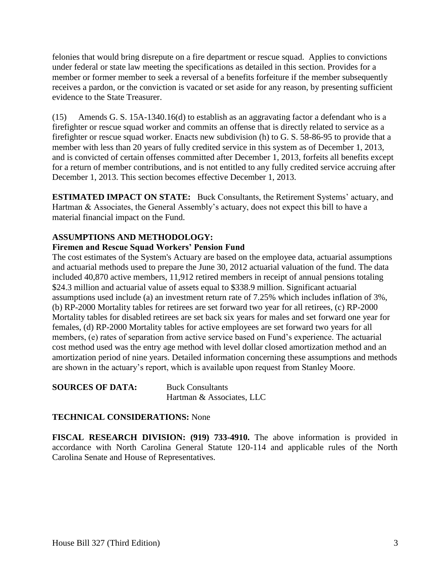felonies that would bring disrepute on a fire department or rescue squad. Applies to convictions under federal or state law meeting the specifications as detailed in this section. Provides for a member or former member to seek a reversal of a benefits forfeiture if the member subsequently receives a pardon, or the conviction is vacated or set aside for any reason, by presenting sufficient evidence to the State Treasurer.

(15) Amends G. S. 15A-1340.16(d) to establish as an aggravating factor a defendant who is a firefighter or rescue squad worker and commits an offense that is directly related to service as a firefighter or rescue squad worker. Enacts new subdivision (h) to G. S. 58-86-95 to provide that a member with less than 20 years of fully credited service in this system as of December 1, 2013, and is convicted of certain offenses committed after December 1, 2013, forfeits all benefits except for a return of member contributions, and is not entitled to any fully credited service accruing after December 1, 2013. This section becomes effective December 1, 2013.

**ESTIMATED IMPACT ON STATE:** Buck Consultants, the Retirement Systems' actuary, and Hartman & Associates, the General Assembly's actuary, does not expect this bill to have a material financial impact on the Fund.

## **ASSUMPTIONS AND METHODOLOGY:**

#### **Firemen and Rescue Squad Workers' Pension Fund**

The cost estimates of the System's Actuary are based on the employee data, actuarial assumptions and actuarial methods used to prepare the June 30, 2012 actuarial valuation of the fund. The data included 40,870 active members, 11,912 retired members in receipt of annual pensions totaling \$24.3 million and actuarial value of assets equal to \$338.9 million. Significant actuarial assumptions used include (a) an investment return rate of 7.25% which includes inflation of 3%, (b) RP-2000 Mortality tables for retirees are set forward two year for all retirees, (c) RP-2000 Mortality tables for disabled retirees are set back six years for males and set forward one year for females, (d) RP-2000 Mortality tables for active employees are set forward two years for all members, (e) rates of separation from active service based on Fund's experience. The actuarial cost method used was the entry age method with level dollar closed amortization method and an amortization period of nine years. Detailed information concerning these assumptions and methods are shown in the actuary's report, which is available upon request from Stanley Moore.

**SOURCES OF DATA:** Buck Consultants Hartman & Associates, LLC

### **TECHNICAL CONSIDERATIONS:** None

**FISCAL RESEARCH DIVISION: (919) 733-4910.** The above information is provided in accordance with North Carolina General Statute 120-114 and applicable rules of the North Carolina Senate and House of Representatives.